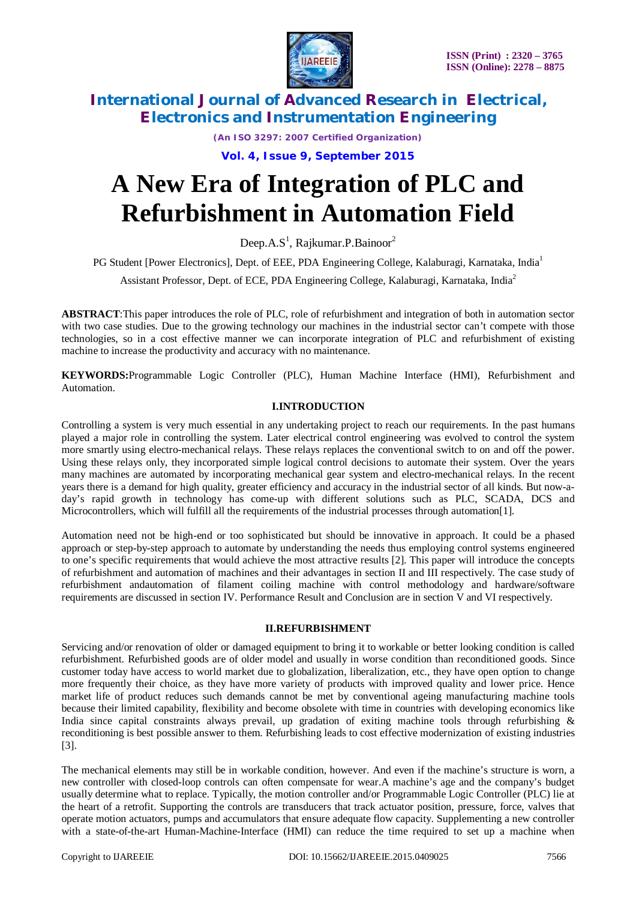

*(An ISO 3297: 2007 Certified Organization)*

**Vol. 4, Issue 9, September 2015**

# **A New Era of Integration of PLC and Refurbishment in Automation Field**

Deep. $A.S^1$ , Rajkumar.P.Bainoor $^2$ 

PG Student [Power Electronics], Dept. of EEE, PDA Engineering College, Kalaburagi, Karnataka, India<sup>1</sup>

Assistant Professor, Dept. of ECE, PDA Engineering College, Kalaburagi, Karnataka, India<sup>2</sup>

**ABSTRACT**:This paper introduces the role of PLC, role of refurbishment and integration of both in automation sector with two case studies. Due to the growing technology our machines in the industrial sector can't compete with those technologies, so in a cost effective manner we can incorporate integration of PLC and refurbishment of existing machine to increase the productivity and accuracy with no maintenance.

**KEYWORDS:**Programmable Logic Controller (PLC), Human Machine Interface (HMI), Refurbishment and Automation.

#### **I.INTRODUCTION**

Controlling a system is very much essential in any undertaking project to reach our requirements. In the past humans played a major role in controlling the system. Later electrical control engineering was evolved to control the system more smartly using electro-mechanical relays. These relays replaces the conventional switch to on and off the power. Using these relays only, they incorporated simple logical control decisions to automate their system. Over the years many machines are automated by incorporating mechanical gear system and electro-mechanical relays. In the recent years there is a demand for high quality, greater efficiency and accuracy in the industrial sector of all kinds. But now-aday's rapid growth in technology has come-up with different solutions such as PLC, SCADA, DCS and Microcontrollers, which will fulfill all the requirements of the industrial processes through automation[1].

Automation need not be high-end or too sophisticated but should be innovative in approach. It could be a phased approach or step-by-step approach to automate by understanding the needs thus employing control systems engineered to one's specific requirements that would achieve the most attractive results [2]. This paper will introduce the concepts of refurbishment and automation of machines and their advantages in section II and III respectively. The case study of refurbishment andautomation of filament coiling machine with control methodology and hardware/software requirements are discussed in section IV. Performance Result and Conclusion are in section V and VI respectively.

#### **II.REFURBISHMENT**

Servicing and/or renovation of older or damaged equipment to bring it to workable or better looking condition is called refurbishment. Refurbished goods are of older model and usually in worse condition than reconditioned goods. Since customer today have access to world market due to globalization, liberalization, etc., they have open option to change more frequently their choice, as they have more variety of products with improved quality and lower price. Hence market life of product reduces such demands cannot be met by conventional ageing manufacturing machine tools because their limited capability, flexibility and become obsolete with time in countries with developing economics like India since capital constraints always prevail, up gradation of exiting machine tools through refurbishing & reconditioning is best possible answer to them. Refurbishing leads to cost effective modernization of existing industries [3].

The mechanical elements may still be in workable condition, however. And even if the machine's structure is worn, a new controller with closed-loop controls can often compensate for wear.A machine's age and the company's budget usually determine what to replace. Typically, the motion controller and/or Programmable Logic Controller (PLC) lie at the heart of a retrofit. Supporting the controls are transducers that track actuator position, pressure, force, valves that operate motion actuators, pumps and accumulators that ensure adequate flow capacity. Supplementing a new controller with a state-of-the-art Human-Machine-Interface (HMI) can reduce the time required to set up a machine when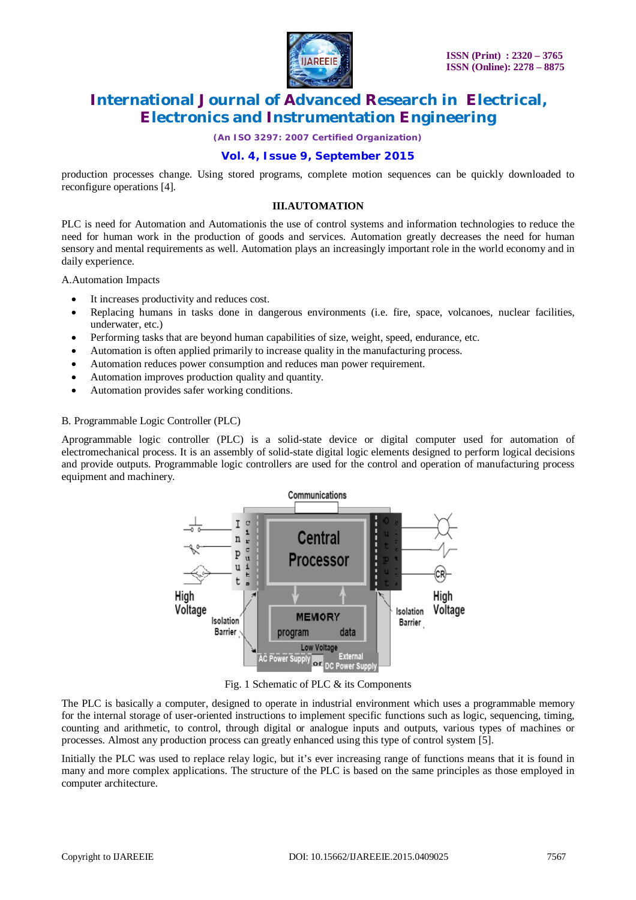

*(An ISO 3297: 2007 Certified Organization)*

### **Vol. 4, Issue 9, September 2015**

production processes change. Using stored programs, complete motion sequences can be quickly downloaded to reconfigure operations [4].

#### **III.AUTOMATION**

PLC is need for Automation and Automationis the use of control systems and information technologies to reduce the need for human work in the production of goods and services. Automation greatly decreases the need for human sensory and mental requirements as well. Automation plays an increasingly important role in the world economy and in daily experience.

A.Automation Impacts

- It increases productivity and reduces cost.
- Replacing humans in tasks done in dangerous environments (i.e. fire, space, volcanoes, nuclear facilities, underwater, etc.)
- Performing tasks that are beyond human capabilities of size, weight, speed, endurance, etc.
- Automation is often applied primarily to increase quality in the manufacturing process.
- Automation reduces power consumption and reduces man power requirement.
- Automation improves production quality and quantity.
- Automation provides safer working conditions.

#### B. Programmable Logic Controller (PLC)

Aprogrammable logic controller (PLC) is a solid-state device or digital computer used for automation of electromechanical process. It is an assembly of solid-state digital logic elements designed to perform logical decisions and provide outputs. Programmable logic controllers are used for the control and operation of manufacturing process equipment and machinery.



Fig. 1 Schematic of PLC & its Components

The PLC is basically a computer, designed to operate in industrial environment which uses a programmable memory for the internal storage of user-oriented instructions to implement specific functions such as logic, sequencing, timing, counting and arithmetic, to control, through digital or analogue inputs and outputs, various types of machines or processes. Almost any production process can greatly enhanced using this type of control system [5].

Initially the PLC was used to replace relay logic, but it's ever increasing range of functions means that it is found in many and more complex applications. The structure of the PLC is based on the same principles as those employed in computer architecture.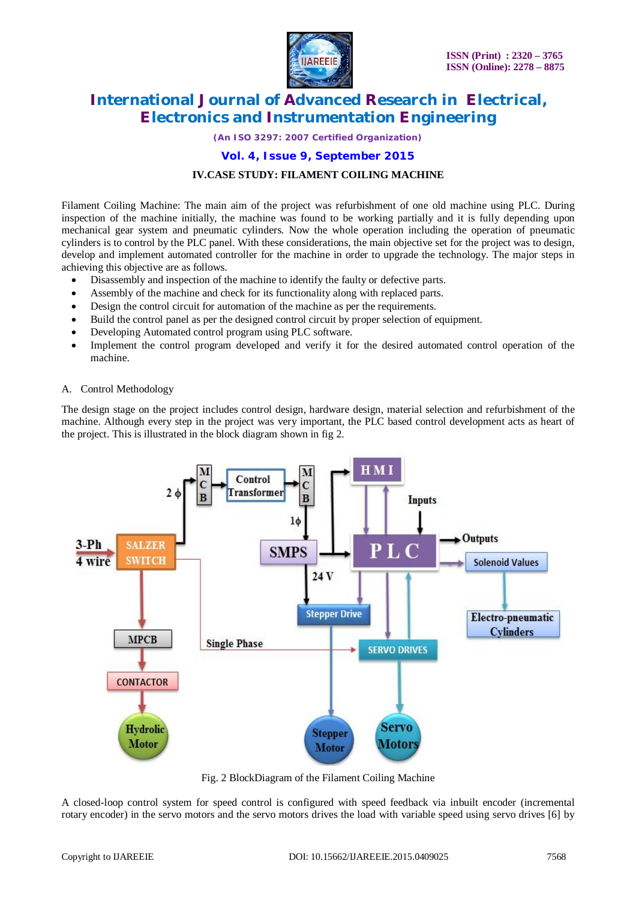

*(An ISO 3297: 2007 Certified Organization)*

**Vol. 4, Issue 9, September 2015**

#### **IV.CASE STUDY: FILAMENT COILING MACHINE**

Filament Coiling Machine: The main aim of the project was refurbishment of one old machine using PLC. During inspection of the machine initially, the machine was found to be working partially and it is fully depending upon mechanical gear system and pneumatic cylinders. Now the whole operation including the operation of pneumatic cylinders is to control by the PLC panel. With these considerations, the main objective set for the project was to design, develop and implement automated controller for the machine in order to upgrade the technology. The major steps in achieving this objective are as follows.

- Disassembly and inspection of the machine to identify the faulty or defective parts.
- Assembly of the machine and check for its functionality along with replaced parts.
- Design the control circuit for automation of the machine as per the requirements.
- Build the control panel as per the designed control circuit by proper selection of equipment.
- Developing Automated control program using PLC software.
- Implement the control program developed and verify it for the desired automated control operation of the machine.

#### A. Control Methodology

The design stage on the project includes control design, hardware design, material selection and refurbishment of the machine. Although every step in the project was very important, the PLC based control development acts as heart of the project. This is illustrated in the block diagram shown in fig 2.



Fig. 2 BlockDiagram of the Filament Coiling Machine

A closed-loop control system for speed control is configured with speed feedback via inbuilt encoder (incremental rotary encoder) in the servo motors and the servo motors drives the load with variable speed using servo drives [6] by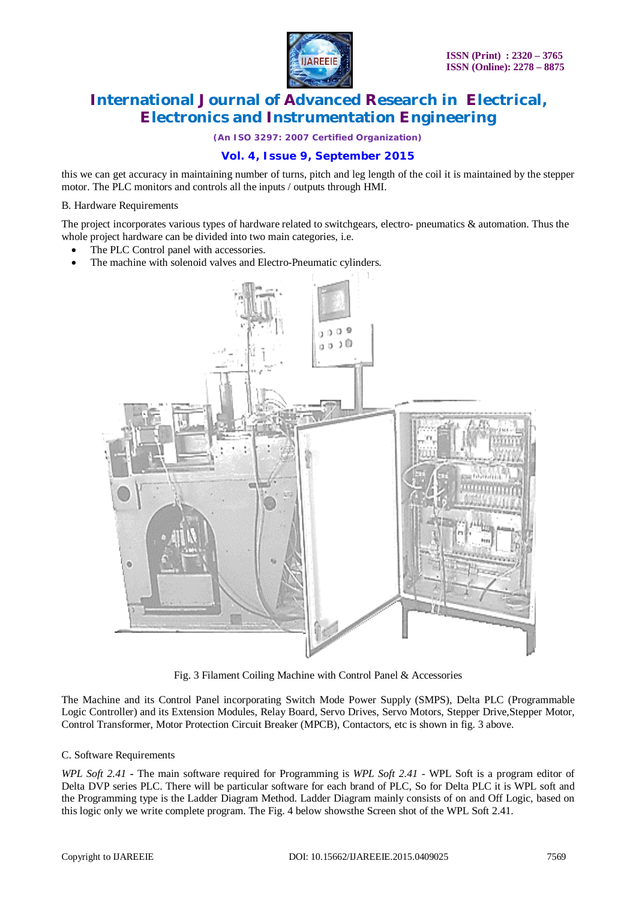

*(An ISO 3297: 2007 Certified Organization)*

### **Vol. 4, Issue 9, September 2015**

this we can get accuracy in maintaining number of turns, pitch and leg length of the coil it is maintained by the stepper motor. The PLC monitors and controls all the inputs / outputs through HMI.

#### B. Hardware Requirements

The project incorporates various types of hardware related to switchgears, electro- pneumatics & automation. Thus the whole project hardware can be divided into two main categories, i.e.

- The PLC Control panel with accessories.
- The machine with solenoid valves and Electro-Pneumatic cylinders.



Fig. 3 Filament Coiling Machine with Control Panel & Accessories

The Machine and its Control Panel incorporating Switch Mode Power Supply (SMPS), Delta PLC (Programmable Logic Controller) and its Extension Modules, Relay Board, Servo Drives, Servo Motors, Stepper Drive,Stepper Motor, Control Transformer, Motor Protection Circuit Breaker (MPCB), Contactors, etc is shown in fig. 3 above.

#### C. Software Requirements

*WPL Soft 2.41 -* The main software required for Programming is *WPL Soft 2.41* - WPL Soft is a program editor of Delta DVP series PLC. There will be particular software for each brand of PLC, So for Delta PLC it is WPL soft and the Programming type is the Ladder Diagram Method. Ladder Diagram mainly consists of on and Off Logic, based on this logic only we write complete program. The Fig. 4 below showsthe Screen shot of the WPL Soft 2.41.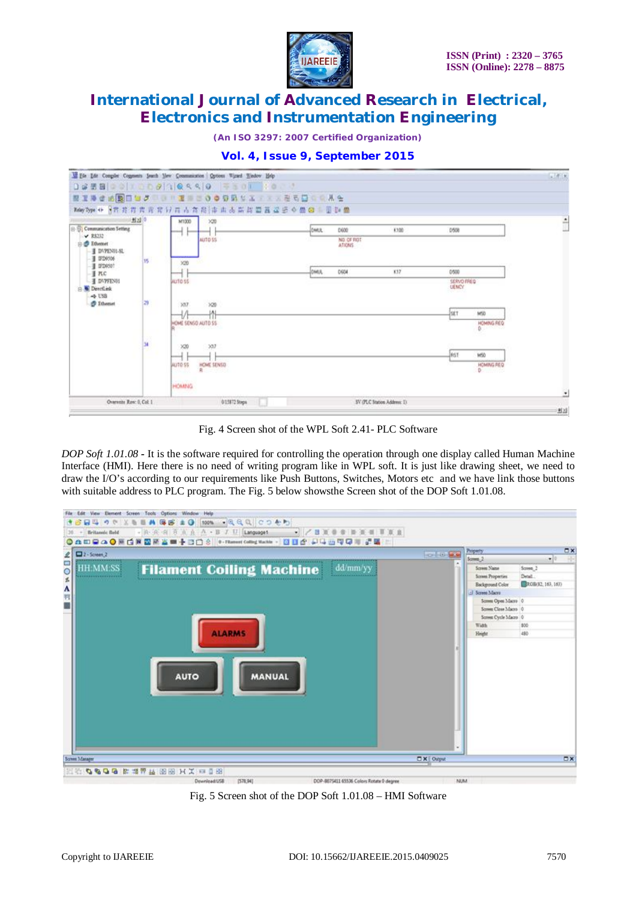

*(An ISO 3297: 2007 Certified Organization)*

|                                                      |      | 00000000000000000000000                                      |      |                       |       |                           |                       |            |
|------------------------------------------------------|------|--------------------------------------------------------------|------|-----------------------|-------|---------------------------|-----------------------|------------|
|                                                      |      |                                                              |      |                       |       |                           |                       |            |
|                                                      |      | May Type ++ 日本井井井井 平方 行 井 古 在 阳 市 山 古 高 高 高 昌 昌 三 金 三 里 Di 盛 |      |                       |       |                           |                       |            |
|                                                      | 图200 | M1000<br>220                                                 |      |                       |       |                           |                       | $\ddot{ }$ |
| <b>B. B. Communication Setting</b><br>$\times$ RS313 |      |                                                              | DMUL | 0600                  | 6,100 | 0508                      |                       |            |
| <b>D</b> Dhemet                                      |      | AUTO \$\$                                                    |      | NO. OF ROT<br>ATIONS. |       |                           |                       |            |
| I DVPENIL-SL                                         |      |                                                              |      |                       |       |                           |                       |            |
| I ITD0506<br>Il IFD9501                              | 15   | $\times 20$                                                  |      |                       |       |                           |                       |            |
| # PLC                                                |      |                                                              | DMA  | 0604                  | 137   | 0500                      |                       |            |
| <b>I DVPFENOS</b><br>AUTO 55<br><b>Detclink</b>      |      |                                                              |      |                       |       | SERVO MEG<br><b>UENCY</b> |                       |            |
| $-5$ USB                                             |      |                                                              |      |                       |       |                           |                       |            |
| <b><i>O</i></b> Ithenet                              | 29   | $\times17$<br>320                                            |      |                       |       |                           |                       |            |
|                                                      |      | v                                                            |      |                       |       | <b>Ist</b>                | MSD                   |            |
|                                                      |      | HOME SENSO AUTO SS                                           |      |                       |       |                           | HOMBIG REQ<br>0.125   |            |
|                                                      |      |                                                              |      |                       |       |                           |                       |            |
|                                                      | ы    | 307<br>320                                                   |      |                       |       |                           |                       |            |
|                                                      |      |                                                              |      |                       |       | <b>JAST</b>               | MSD                   |            |
|                                                      |      | HOME SENSO<br>AUTO SS<br>月                                   |      |                       |       |                           | <b>HOMMS REQ</b><br>D |            |
|                                                      |      | <b>STATISTICS</b>                                            |      |                       |       |                           |                       |            |
|                                                      |      | <b>HOMBIG</b>                                                |      |                       |       |                           |                       |            |
| Overeste Royc 0, Col: 1                              |      | SV (PLC Station Address: 1)<br>013872 Steps                  |      |                       |       |                           | $\cdot$               |            |
|                                                      |      |                                                              |      |                       |       |                           |                       | 9 23       |



Fig. 4 Screen shot of the WPL Soft 2.41- PLC Software

*DOP Soft 1.01.08 -* It is the software required for controlling the operation through one display called Human Machine Interface (HMI). Here there is no need of writing program like in WPL soft. It is just like drawing sheet, we need to draw the I/O's according to our requirements like Push Buttons, Switches, Motors etc and we have link those buttons with suitable address to PLC program. The Fig. 5 below shows the Screen shot of the DOP Soft 1.01.08.



Fig. 5 Screen shot of the DOP Soft 1.01.08 – HMI Software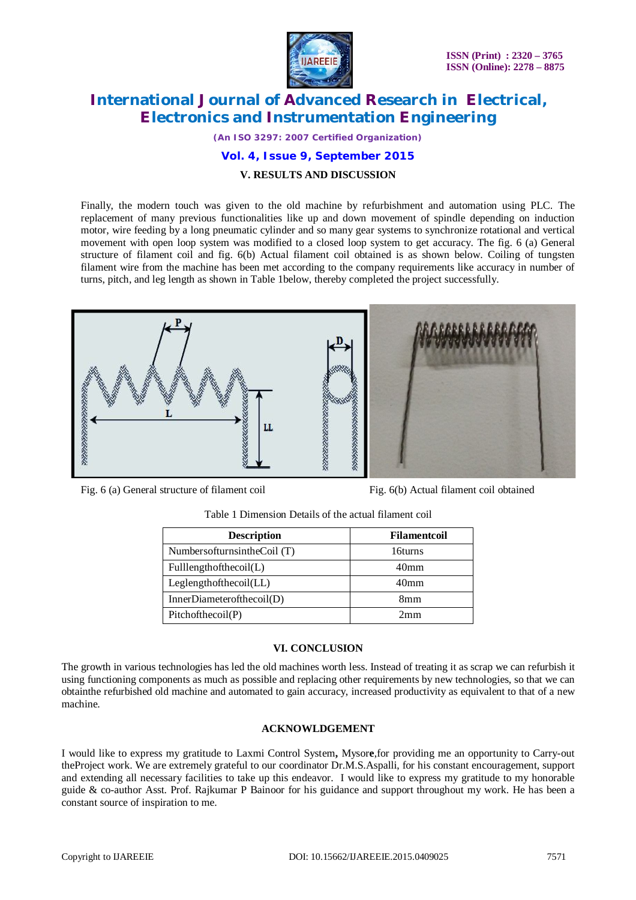

*(An ISO 3297: 2007 Certified Organization)*

#### **Vol. 4, Issue 9, September 2015**

#### **V. RESULTS AND DISCUSSION**

Finally, the modern touch was given to the old machine by refurbishment and automation using PLC. The replacement of many previous functionalities like up and down movement of spindle depending on induction motor, wire feeding by a long pneumatic cylinder and so many gear systems to synchronize rotational and vertical movement with open loop system was modified to a closed loop system to get accuracy. The fig. 6 (a) General structure of filament coil and fig. 6(b) Actual filament coil obtained is as shown below. Coiling of tungsten filament wire from the machine has been met according to the company requirements like accuracy in number of turns, pitch, and leg length as shown in Table 1below, thereby completed the project successfully.



Fig. 6 (a) General structure of filament coil Fig. 6(b) Actual filament coil obtained

| <b>Description</b>               | <b>Filamentcoil</b> |  |  |
|----------------------------------|---------------------|--|--|
| Numbers of furns in the Coil (T) | 16turns             |  |  |
| Fulllength of the coil(L)        | 40 <sub>mm</sub>    |  |  |
| Leg length of the coil (LL)      | 40 <sub>mm</sub>    |  |  |
| InnerDiameterofthecoil(D)        | 8mm                 |  |  |
| Pitchof the coil(P)              | 2mm                 |  |  |

#### Table 1 Dimension Details of the actual filament coil

#### **VI. CONCLUSION**

The growth in various technologies has led the old machines worth less. Instead of treating it as scrap we can refurbish it using functioning components as much as possible and replacing other requirements by new technologies, so that we can obtainthe refurbished old machine and automated to gain accuracy, increased productivity as equivalent to that of a new machine.

#### **ACKNOWLDGEMENT**

I would like to express my gratitude to Laxmi Control System**,** Mysor**e**,for providing me an opportunity to Carry-out theProject work. We are extremely grateful to our coordinator Dr.M.S.Aspalli, for his constant encouragement, support and extending all necessary facilities to take up this endeavor. I would like to express my gratitude to my honorable guide & co-author Asst. Prof. Rajkumar P Bainoor for his guidance and support throughout my work. He has been a constant source of inspiration to me.